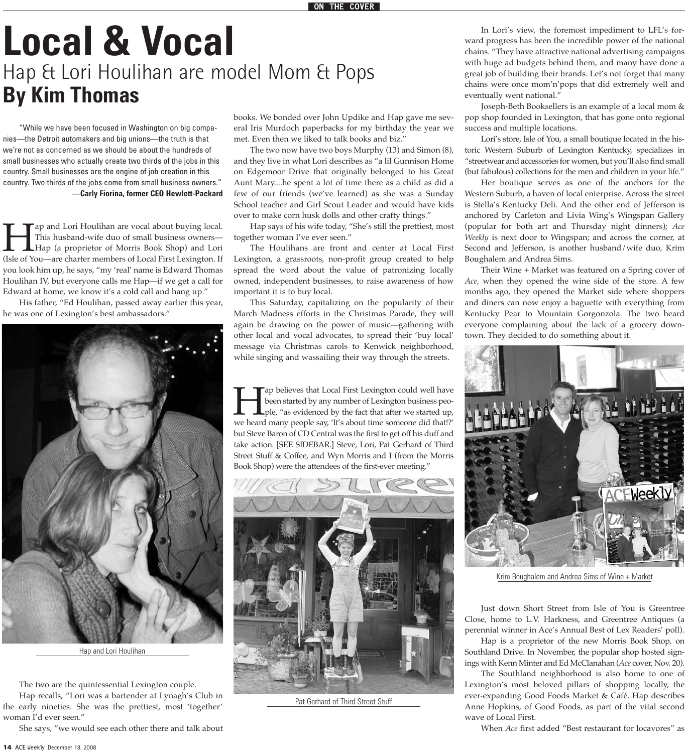# **Local & Vocal** Hap & Lori Houlihan are model Mom & Pops **By Kim Thomas**

"While we have been focused in Washington on big companies—the Detroit automakers and big unions—the truth is that we're not as concerned as we should be about the hundreds of small businesses who actually create two thirds of the jobs in this country. Small businesses are the engine of job creation in this country. Two thirds of the jobs come from small business owners." **—Carly Fiorina, former CEO Hewlett-Packard**

This husband-wife duo of small business owners—<br>Hap (a proprietor of Morris Book Shop) and Lori<br>(Isle of You—are charter members of Local First Lexington. If This husband-wife duo of small business owners— Hap (a proprietor of Morris Book Shop) and Lori (Isle of You—are charter members of Local First Lexington. If you look him up, he says, "my 'real' name is Edward Thomas Houlihan IV, but everyone calls me Hap—if we get a call for Edward at home, we know it's a cold call and hang up."

His father, "Ed Houlihan, passed away earlier this year, he was one of Lexington's best ambassadors."



Hap and Lori Houlihan

The two are the quintessential Lexington couple.

Hap recalls, "Lori was a bartender at Lynagh's Club in the early nineties. She was the prettiest, most 'together' woman I'd ever seen."

She says, "we would see each other there and talk about

met. Even then we liked to talk books and biz." The two now have two boys Murphy (13) and Simon (8), and they live in what Lori describes as "a lil Gunnison Home

on Edgemoor Drive that originally belonged to his Great Aunt Mary....he spent a lot of time there as a child as did a few of our friends (we've learned) as she was a Sunday School teacher and Girl Scout Leader and would have kids over to make corn husk dolls and other crafty things."

books. We bonded over John Updike and Hap gave me several Iris Murdoch paperbacks for my birthday the year we

Hap says of his wife today, "She's still the prettiest, most together woman I've ever seen."

The Houlihans are front and center at Local First Lexington, a grassroots, non-profit group created to help spread the word about the value of patronizing locally owned, independent businesses, to raise awareness of how important it is to buy local.

This Saturday, capitalizing on the popularity of their March Madness efforts in the Christmas Parade, they will again be drawing on the power of music—gathering with other local and vocal advocates, to spread their 'buy local' message via Christmas carols to Kenwick neighborhood, while singing and wassailing their way through the streets.

Tap believes that Local First Lexington could well have<br>been started by any number of Lexington business peo-<br>ple, "as evidenced by the fact that after we started up,<br>we heard many people say, 'It's about time someone did been started by any number of Lexington business people, "as evidenced by the fact that after we started up, but Steve Baron of CD Central was the first to get off his duff and take action. [SEE SIDEBAR.] Steve, Lori, Pat Gerhard of Third Street Stuff & Coffee, and Wyn Morris and I (from the Morris Book Shop) were the attendees of the first-ever meeting."



Pat Gerhard of Third Street Stuff

In Lori's view, the foremost impediment to LFL's forward progress has been the incredible power of the national chains. "They have attractive national advertising campaigns with huge ad budgets behind them, and many have done a great job of building their brands. Let's not forget that many chains were once mom'n'pops that did extremely well and eventually went national."

Joseph-Beth Booksellers is an example of a local mom & pop shop founded in Lexington, that has gone onto regional success and multiple locations.

Lori's store, Isle of You, a small boutique located in the historic Western Suburb of Lexington Kentucky, specializes in "streetwear and accessories for women, but you'll also find small (but fabulous) collections for the men and children in your life."

Her boutique serves as one of the anchors for the Western Suburb, a haven of local enterprise. Across the street is Stella's Kentucky Deli. And the other end of Jefferson is anchored by Carleton and Livia Wing's Wingspan Gallery (popular for both art and Thursday night dinners); *Ace Weekly* is next door to Wingspan; and across the corner, at Second and Jefferson, is another husband/wife duo, Krim Boughalem and Andrea Sims.

Their Wine + Market was featured on a Spring cover of *Ace,* when they opened the wine side of the store. A few months ago, they opened the Market side where shoppers and diners can now enjoy a baguette with everything from Kentucky Pear to Mountain Gorgonzola. The two heard everyone complaining about the lack of a grocery downtown. They decided to do something about it.



Krim Boughalem and Andrea Sims of Wine + Market

Just down Short Street from Isle of You is Greentree Close, home to L.V. Harkness, and Greentree Antiques (a perennial winner in Ace's Annual Best of Lex Readers' poll).

Hap is a proprietor of the new Morris Book Shop, on Southland Drive. In November, the popular shop hosted signings with Kenn Minter and Ed McClanahan (*Ace* cover, Nov. 20).

The Southland neighborhood is also home to one of Lexington's most beloved pillars of shopping locally, the ever-expanding Good Foods Market & Café. Hap describes Anne Hopkins, of Good Foods, as part of the vital second wave of Local First.

When *Ace* first added "Best restaurant for locavores" as